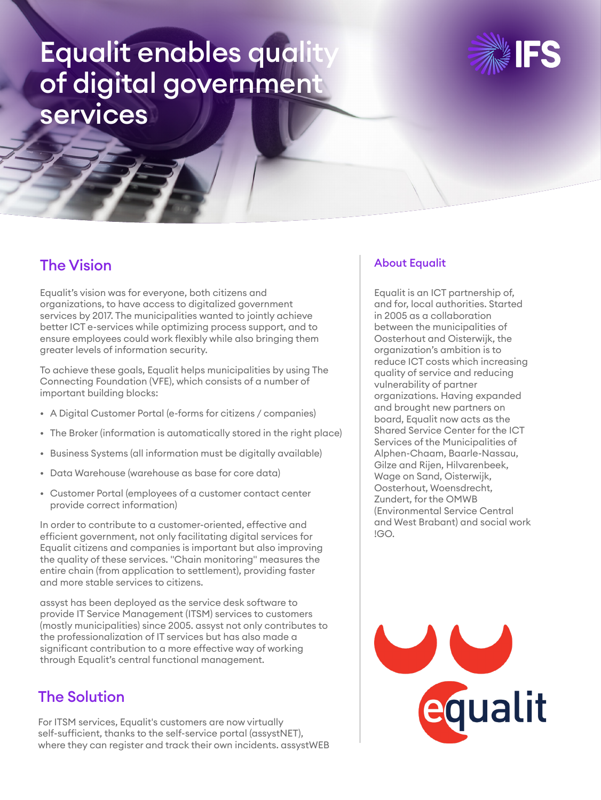# Equalit enables qualit of digital government services



### The Vision

Equalit's vision was for everyone, both citizens and organizations, to have access to digitalized government services by 2017. The municipalities wanted to jointly achieve better ICT e-services while optimizing process support, and to ensure employees could work flexibly while also bringing them greater levels of information security.

To achieve these goals, Equalit helps municipalities by using The Connecting Foundation (VFE), which consists of a number of important building blocks:

- A Digital Customer Portal (e-forms for citizens / companies)
- The Broker (information is automatically stored in the right place)
- Business Systems (all information must be digitally available)
- Data Warehouse (warehouse as base for core data)
- Customer Portal (employees of a customer contact center provide correct information)

In order to contribute to a customer-oriented, effective and efficient government, not only facilitating digital services for Equalit citizens and companies is important but also improving the quality of these services. "Chain monitoring" measures the entire chain (from application to settlement), providing faster and more stable services to citizens.

assyst has been deployed as the service desk software to provide IT Service Management (ITSM) services to customers (mostly municipalities) since 2005. assyst not only contributes to the professionalization of IT services but has also made a significant contribution to a more effective way of working through Equalit's central functional management.

### The Solution

For ITSM services, Equalit's customers are now virtually self-sufficient, thanks to the self-service portal (assystNET), where they can register and track their own incidents. assystWEB

#### About Equalit

Equalit is an ICT partnership of, and for, local authorities. Started in 2005 as a collaboration between the municipalities of Oosterhout and Oisterwijk, the organization's ambition is to reduce ICT costs which increasing quality of service and reducing vulnerability of partner organizations. Having expanded and brought new partners on board, Equalit now acts as the Shared Service Center for the ICT Services of the Municipalities of Alphen-Chaam, Baarle-Nassau, Gilze and Rijen, Hilvarenbeek, Wage on Sand, Oisterwijk, Oosterhout, Woensdrecht, Zundert, for the OMWB (Environmental Service Central and West Brabant) and social work !GO.